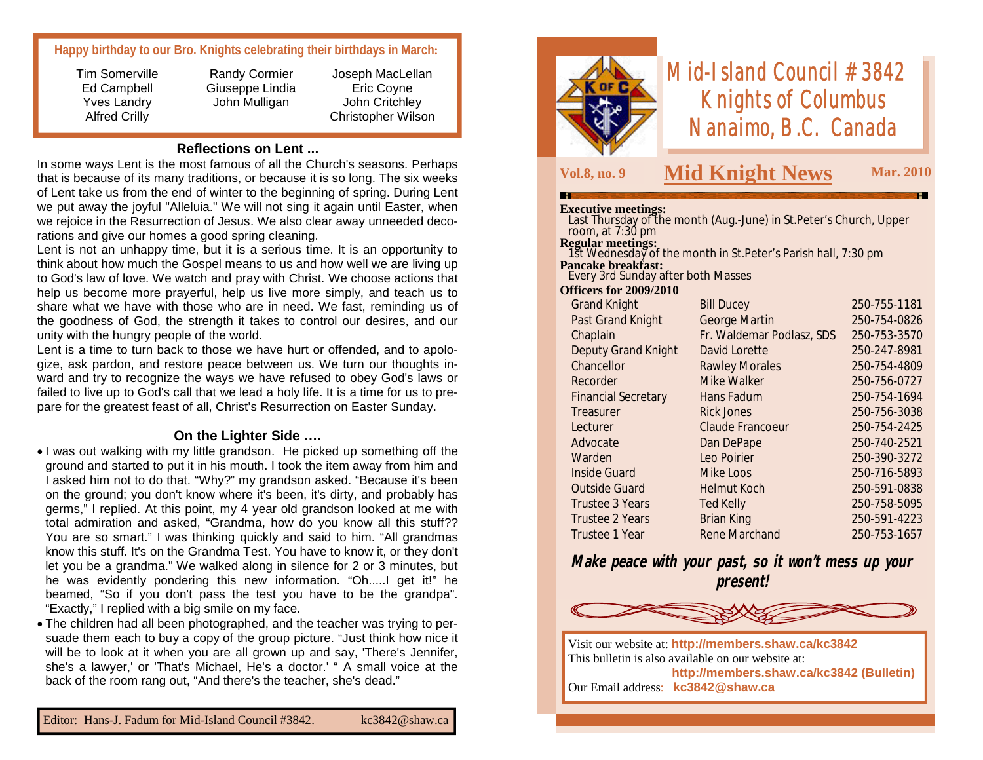# **Happy birthday to our Bro. Knights celebrating their birthdays in March:**

Tim Somerville Ed Campbell Yves Landry Alfred Crilly

Randy Cormier Giuseppe Lindia John Mulligan

Joseph MacLellan Eric Coyne John Critchley Christopher Wilson

# **Reflections on Lent ...**

In some ways Lent is the most famous of all the Church's seasons. Perhaps that is because of its many traditions, or because it is so long. The six weeks of Lent take us from the end of winter to the beginning of spring. During Lent we put away the joyful "Alleluia." We will not sing it again until Easter, when we rejoice in the Resurrection of Jesus. We also clear away unneeded decorations and give our homes a good spring cleaning.

Lent is not an unhappy time, but it is a serious time. It is an opportunity to think about how much the Gospel means to us and how well we are living up to God's law of love. We watch and pray with Christ. We choose actions that help us become more prayerful, help us live more simply, and teach us to share what we have with those who are in need. We fast, reminding us of the goodness of God, the strength it takes to control our desires, and our unity with the hungry people of the world.

Lent is a time to turn back to those we have hurt or offended, and to apologize, ask pardon, and restore peace between us. We turn our thoughts inward and try to recognize the ways we have refused to obey God's laws or failed to live up to God's call that we lead a holy life. It is a time for us to prepare for the greatest feast of all, Christ's Resurrection on Easter Sunday.

## **On the Lighter Side ….**

- I was out walking with my little grandson. He picked up something off the ground and started to put it in his mouth. I took the item away from him and I asked him not to do that. "Why?" my grandson asked. "Because it's been on the ground; you don't know where it's been, it's dirty, and probably has germs," I replied. At this point, my 4 year old grandson looked at me with total admiration and asked, "Grandma, how do you know all this stuff?? You are so smart." I was thinking quickly and said to him. "All grandmas know this stuff. It's on the Grandma Test. You have to know it, or they don't let you be a grandma." We walked along in silence for 2 or 3 minutes, but he was evidently pondering this new information. "Oh.....I get it!" he beamed, "So if you don't pass the test you have to be the grandpa". "Exactly," I replied with a big smile on my face.
- The children had all been photographed, and the teacher was trying to persuade them each to buy a copy of the group picture. "Just think how nice it will be to look at it when you are all grown up and say, 'There's Jennifer, she's a lawyer,' or 'That's Michael, He's a doctor.' " A small voice at the back of the room rang out, "And there's the teacher, she's dead."



# *Mid-Island Council #3842 Knights of Columbus Nanaimo, B.C. Canada*

# **Vol.8, no. 9 Mid Knight News Mar. 2010**

#### **Executive meetings:**

| <b>Last Thursday of the month (Aug.-June) in St. Peter's Church, Upper</b> |  |
|----------------------------------------------------------------------------|--|
| room, at $7:30 \text{ pm}$                                                 |  |
| <b>Regular meetings:</b>                                                   |  |

 1st Wednesday of the month in St.Peter's Parish hall, 7:30 pm **Pancake breakfast:**

Every 3rd Sunday after both Masses

#### **Officers for 2009/2010**

| <b>Grand Knight</b>        | <b>Bill Ducey</b>         | 250-755-1181 |
|----------------------------|---------------------------|--------------|
| Past Grand Knight          | <b>George Martin</b>      | 250-754-0826 |
| Chaplain                   | Fr. Waldemar Podlasz, SDS | 250-753-3570 |
| <b>Deputy Grand Knight</b> | David Lorette             | 250-247-8981 |
| Chancellor                 | <b>Rawley Morales</b>     | 250-754-4809 |
| Recorder                   | Mike Walker               | 250-756-0727 |
| <b>Financial Secretary</b> | Hans Fadum                | 250-754-1694 |
| Treasurer                  | <b>Rick Jones</b>         | 250-756-3038 |
| Lecturer                   | <b>Claude Francoeur</b>   | 250-754-2425 |
| Advocate                   | Dan DePape                | 250-740-2521 |
| Warden                     | Leo Poirier               | 250-390-3272 |
| <b>Inside Guard</b>        | Mike Loos                 | 250-716-5893 |
| <b>Outside Guard</b>       | <b>Helmut Koch</b>        | 250-591-0838 |
| Trustee 3 Years            | <b>Ted Kelly</b>          | 250-758-5095 |
| <b>Trustee 2 Years</b>     | <b>Brian King</b>         | 250-591-4223 |
| Trustee 1 Year             | <b>Rene Marchand</b>      | 250-753-1657 |
|                            |                           |              |

**Make peace with your past, so it won't mess up your present!**



Visit our website at: **http://members.shaw.ca/kc3842** This bulletin is also available on our website at: **http://members.shaw.ca/kc3842 (Bulletin)** Our Email address: **kc3842@shaw.ca**